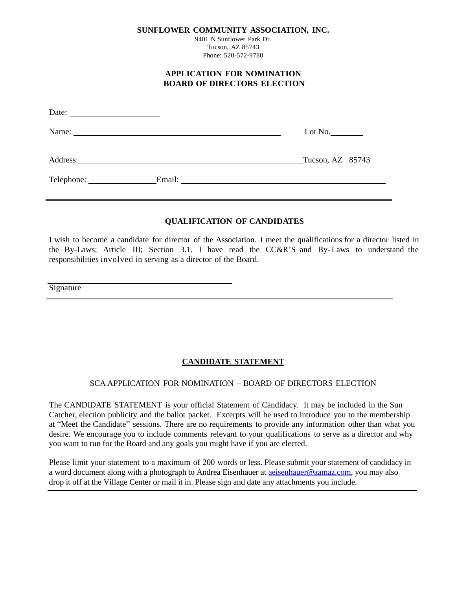**SUNFLOWER COMMUNITY ASSOCIATION, INC.**

9401 N Sunflower Park Dr. Tucson, AZ 85743 Phone: 520-572-9780

#### **APPLICATION FOR NOMINATION BOARD OF DIRECTORS ELECTION**

| Date: |                                                                                                                                                                                                                                                                                                                                                                                                               |                             |
|-------|---------------------------------------------------------------------------------------------------------------------------------------------------------------------------------------------------------------------------------------------------------------------------------------------------------------------------------------------------------------------------------------------------------------|-----------------------------|
|       | Name: $\frac{1}{\sqrt{1-\frac{1}{2}}\sqrt{1-\frac{1}{2}}\sqrt{1-\frac{1}{2}}\sqrt{1-\frac{1}{2}}\sqrt{1-\frac{1}{2}}\sqrt{1-\frac{1}{2}}\sqrt{1-\frac{1}{2}}\sqrt{1-\frac{1}{2}}\sqrt{1-\frac{1}{2}}\sqrt{1-\frac{1}{2}}\sqrt{1-\frac{1}{2}}\sqrt{1-\frac{1}{2}}\sqrt{1-\frac{1}{2}}\sqrt{1-\frac{1}{2}}\sqrt{1-\frac{1}{2}}\sqrt{1-\frac{1}{2}}\sqrt{1-\frac{1}{2}}\sqrt{1-\frac{1}{2}}\sqrt{1-\frac{1}{2}}$ |                             |
|       |                                                                                                                                                                                                                                                                                                                                                                                                               | Tucson, AZ 85743            |
|       |                                                                                                                                                                                                                                                                                                                                                                                                               | Email: <u>International</u> |

# **QUALIFICATION OF CANDIDATES**

I wish to become a candidate for director of the Association. I meet the qualifications for a director listed in the By-Laws; Article III; Section 3.1. I have read the CC&R'S and By- Laws to understand the responsibilities involved in serving as a director of the Board.

**Signature** 

# **CANDIDATE STATEMENT**

### SCA APPLICATION FOR NOMINATION – BOARD OF DIRECTORS ELECTION

The CANDIDATE STATEMENT is your official Statement of Candidacy. It may be included in the Sun Catcher, election publicity and the ballot packet. Excerpts will be used to introduce you to the membership at "Meet the Candidate" sessions. There are no requirements to provide any information other than what you desire. We encourage you to include comments relevant to your qualifications to serve as a director and why you want to run for the Board and any goals you might have if you are elected.

Please limit your statement to a maximum of 200 words or less. Please submit your statement of candidacy in a word document along with a photograph to Andrea Eisenhauer at [aeisenhauer@aamaz.com,](mailto:aeisenhauer@aamaz.com) you may also drop it off at the Village Center or mail it in. Please sign and date any attachments you include.